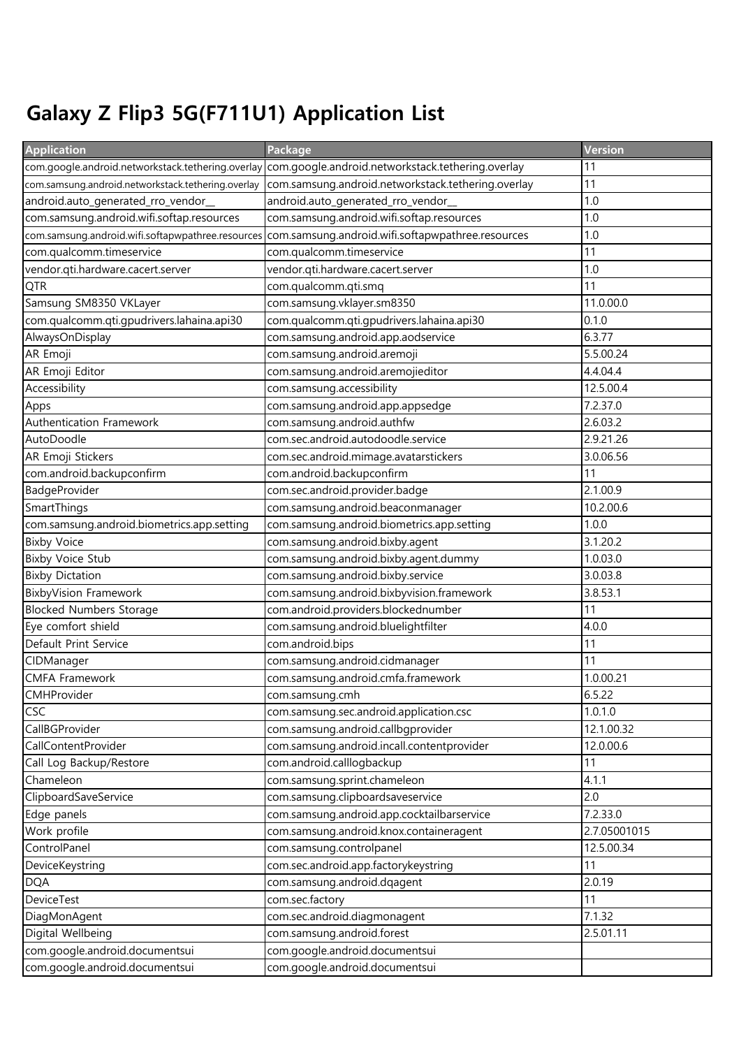## Galaxy Z Flip3 5G(F711U1) Application List

| <b>Application</b>                                 | Package                                                                                             | Version      |
|----------------------------------------------------|-----------------------------------------------------------------------------------------------------|--------------|
|                                                    | com.google.android.networkstack.tethering.overlay com.google.android.networkstack.tethering.overlay | 11           |
| com.samsung.android.networkstack.tethering.overlay | com.samsung.android.networkstack.tethering.overlay                                                  | 11           |
| android.auto_generated_rro_vendor_                 | android.auto_generated_rro_vendor_                                                                  | 1.0          |
| com.samsung.android.wifi.softap.resources          | com.samsung.android.wifi.softap.resources                                                           | 1.0          |
| com.samsung.android.wifi.softapwpathree.resources  | com.samsung.android.wifi.softapwpathree.resources                                                   | 1.0          |
| com.qualcomm.timeservice                           | com.qualcomm.timeservice                                                                            | 11           |
| vendor.qti.hardware.cacert.server                  | vendor.qti.hardware.cacert.server                                                                   | 1.0          |
| QTR                                                | com.qualcomm.qti.smq                                                                                | 11           |
| Samsung SM8350 VKLayer                             | com.samsung.vklayer.sm8350                                                                          | 11.0.00.0    |
| com.qualcomm.qti.gpudrivers.lahaina.api30          | com.qualcomm.qti.gpudrivers.lahaina.api30                                                           | 0.1.0        |
| AlwaysOnDisplay                                    | com.samsung.android.app.aodservice                                                                  | 6.3.77       |
| AR Emoji                                           | com.samsung.android.aremoji                                                                         | 5.5.00.24    |
| AR Emoji Editor                                    | com.samsung.android.aremojieditor                                                                   | 4.4.04.4     |
| Accessibility                                      | com.samsung.accessibility                                                                           | 12.5.00.4    |
| Apps                                               | com.samsung.android.app.appsedge                                                                    | 7.2.37.0     |
| Authentication Framework                           | com.samsung.android.authfw                                                                          | 2.6.03.2     |
| AutoDoodle                                         | com.sec.android.autodoodle.service                                                                  | 2.9.21.26    |
| AR Emoji Stickers                                  | com.sec.android.mimage.avatarstickers                                                               | 3.0.06.56    |
| com.android.backupconfirm                          | com.android.backupconfirm                                                                           | 11           |
| BadgeProvider                                      | com.sec.android.provider.badge                                                                      | 2.1.00.9     |
| SmartThings                                        | com.samsung.android.beaconmanager                                                                   | 10.2.00.6    |
| com.samsung.android.biometrics.app.setting         | com.samsung.android.biometrics.app.setting                                                          | 1.0.0        |
| <b>Bixby Voice</b>                                 | com.samsung.android.bixby.agent                                                                     | 3.1.20.2     |
| <b>Bixby Voice Stub</b>                            | com.samsung.android.bixby.agent.dummy                                                               | 1.0.03.0     |
| <b>Bixby Dictation</b>                             | com.samsung.android.bixby.service                                                                   | 3.0.03.8     |
| <b>BixbyVision Framework</b>                       | com.samsung.android.bixbyvision.framework                                                           | 3.8.53.1     |
| <b>Blocked Numbers Storage</b>                     | com.android.providers.blockednumber                                                                 | 11           |
| Eye comfort shield                                 | com.samsung.android.bluelightfilter                                                                 | 4.0.0        |
| Default Print Service                              | com.android.bips                                                                                    | 11           |
| CIDManager                                         | com.samsung.android.cidmanager                                                                      | 11           |
| <b>CMFA Framework</b>                              | com.samsung.android.cmfa.framework                                                                  | 1.0.00.21    |
| <b>CMHProvider</b>                                 | com.samsung.cmh                                                                                     | 6.5.22       |
| CSC                                                | com.samsung.sec.android.application.csc                                                             | 1.0.1.0      |
| CallBGProvider                                     | com.samsung.android.callbgprovider                                                                  | 12.1.00.32   |
| CallContentProvider                                | com.samsung.android.incall.contentprovider                                                          | 12.0.00.6    |
| Call Log Backup/Restore                            | com.android.calllogbackup                                                                           | 11           |
| Chameleon                                          | com.samsung.sprint.chameleon                                                                        | 4.1.1        |
| ClipboardSaveService                               | com.samsung.clipboardsaveservice                                                                    | 2.0          |
| Edge panels                                        | com.samsung.android.app.cocktailbarservice                                                          | 7.2.33.0     |
| Work profile                                       | com.samsung.android.knox.containeragent                                                             | 2.7.05001015 |
| ControlPanel                                       | com.samsung.controlpanel                                                                            | 12.5.00.34   |
| DeviceKeystring                                    | com.sec.android.app.factorykeystring                                                                | 11           |
| <b>DQA</b>                                         | com.samsung.android.dqagent                                                                         | 2.0.19       |
| DeviceTest                                         | com.sec.factory                                                                                     | 11           |
| DiagMonAgent                                       | com.sec.android.diagmonagent                                                                        | 7.1.32       |
| Digital Wellbeing                                  | com.samsung.android.forest                                                                          | 2.5.01.11    |
| com.google.android.documentsui                     | com.google.android.documentsui                                                                      |              |
| com.google.android.documentsui                     | com.google.android.documentsui                                                                      |              |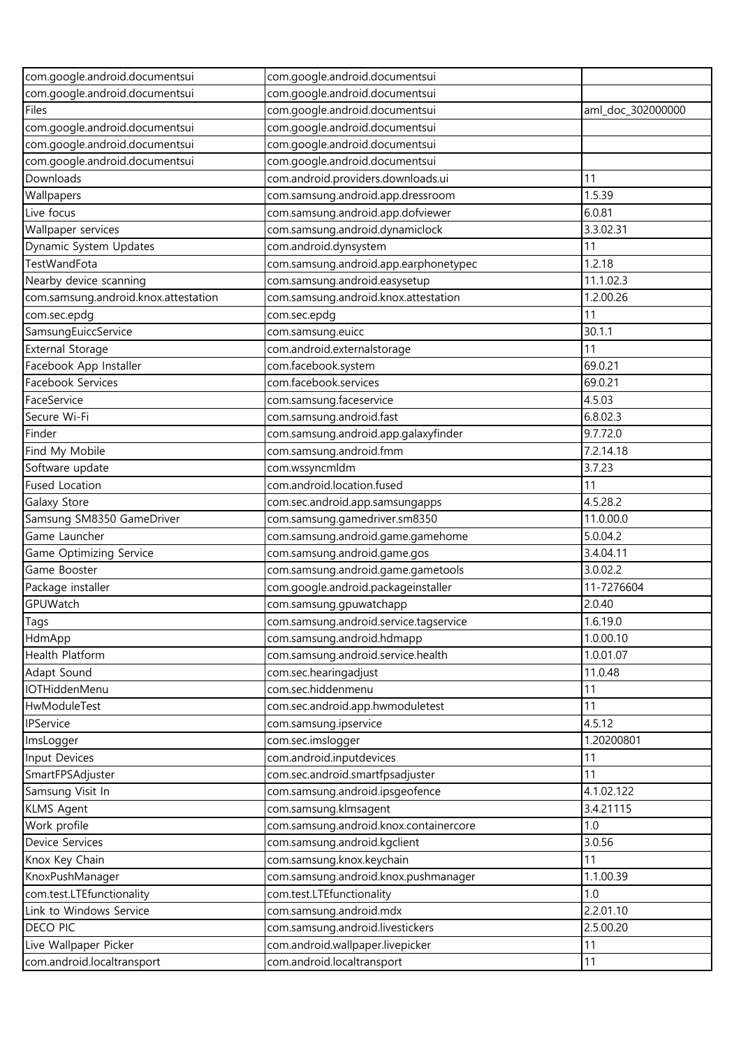| com.google.android.documentsui       | com.google.android.documentsui         |                   |
|--------------------------------------|----------------------------------------|-------------------|
| com.google.android.documentsui       | com.google.android.documentsui         |                   |
| Files                                | com.google.android.documentsui         | aml_doc_302000000 |
| com.google.android.documentsui       | com.google.android.documentsui         |                   |
| com.google.android.documentsui       | com.google.android.documentsui         |                   |
| com.google.android.documentsui       | com.google.android.documentsui         |                   |
| Downloads                            | com.android.providers.downloads.ui     | 11                |
| Wallpapers                           | com.samsung.android.app.dressroom      | 1.5.39            |
| Live focus                           | com.samsung.android.app.dofviewer      | 6.0.81            |
| Wallpaper services                   | com.samsung.android.dynamiclock        | 3.3.02.31         |
| Dynamic System Updates               | com.android.dynsystem                  | 11                |
| TestWandFota                         | com.samsung.android.app.earphonetypec  | 1.2.18            |
| Nearby device scanning               | com.samsung.android.easysetup          | 11.1.02.3         |
| com.samsung.android.knox.attestation | com.samsung.android.knox.attestation   | 1.2.00.26         |
| com.sec.epdg                         | com.sec.epdg                           | 11                |
| SamsungEuiccService                  | com.samsung.euicc                      | 30.1.1            |
| <b>External Storage</b>              | com.android.externalstorage            | 11                |
| Facebook App Installer               | com.facebook.system                    | 69.0.21           |
| Facebook Services                    | com.facebook.services                  | 69.0.21           |
| FaceService                          | com.samsung.faceservice                | 4.5.03            |
| Secure Wi-Fi                         | com.samsung.android.fast               | 6.8.02.3          |
| Finder                               | com.samsung.android.app.galaxyfinder   | 9.7.72.0          |
| Find My Mobile                       | com.samsung.android.fmm                | 7.2.14.18         |
| Software update                      | com.wssyncmldm                         | 3.7.23            |
| <b>Fused Location</b>                | com.android.location.fused             | 11                |
| Galaxy Store                         | com.sec.android.app.samsungapps        | 4.5.28.2          |
| Samsung SM8350 GameDriver            | com.samsung.gamedriver.sm8350          | 11.0.00.0         |
| Game Launcher                        | com.samsung.android.game.gamehome      | 5.0.04.2          |
| Game Optimizing Service              | com.samsung.android.game.gos           | 3.4.04.11         |
| Game Booster                         | com.samsung.android.game.gametools     | 3.0.02.2          |
| Package installer                    | com.google.android.packageinstaller    | 11-7276604        |
| GPUWatch                             | com.samsung.gpuwatchapp                | 2.0.40            |
| Tags                                 | com.samsung.android.service.tagservice | 1.6.19.0          |
| HdmApp                               | com.samsung.android.hdmapp             | 1.0.00.10         |
| Health Platform                      | com.samsung.android.service.health     | 1.0.01.07         |
| Adapt Sound                          | com.sec.hearingadjust                  | 11.0.48           |
| IOTHiddenMenu                        | com.sec.hiddenmenu                     | 11                |
| HwModuleTest                         | com.sec.android.app.hwmoduletest       | 11                |
| IPService                            | com.samsung.ipservice                  | 4.5.12            |
| ImsLogger                            | com.sec.imslogger                      | 1.20200801        |
| Input Devices                        | com.android.inputdevices               | 11                |
| SmartFPSAdjuster                     | com.sec.android.smartfpsadjuster       | 11                |
| Samsung Visit In                     | com.samsung.android.ipsgeofence        | 4.1.02.122        |
| <b>KLMS Agent</b>                    | com.samsung.klmsagent                  | 3.4.21115         |
| Work profile                         | com.samsung.android.knox.containercore | 1.0               |
| Device Services                      | com.samsung.android.kgclient           | 3.0.56            |
| Knox Key Chain                       | com.samsung.knox.keychain              | 11                |
| KnoxPushManager                      | com.samsung.android.knox.pushmanager   | 1.1.00.39         |
| com.test.LTEfunctionality            | com.test.LTEfunctionality              | 1.0               |
| Link to Windows Service              | com.samsung.android.mdx                | 2.2.01.10         |
| <b>DECO PIC</b>                      | com.samsung.android.livestickers       | 2.5.00.20         |
| Live Wallpaper Picker                | com.android.wallpaper.livepicker       | 11                |
| com.android.localtransport           | com.android.localtransport             | 11                |
|                                      |                                        |                   |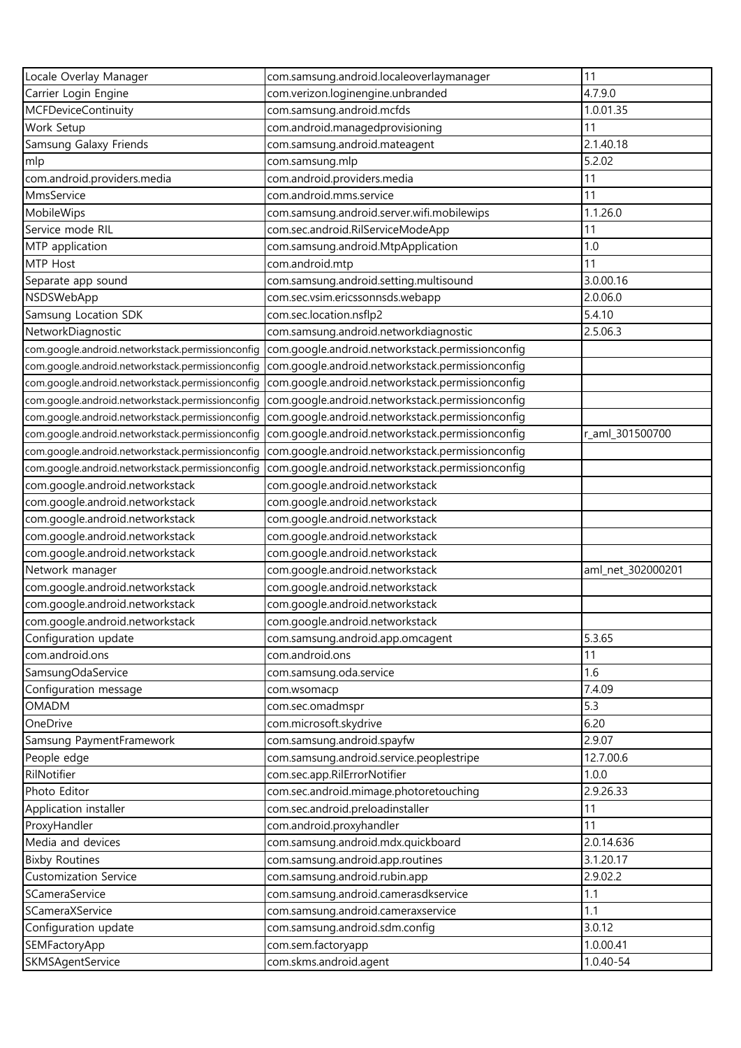| Locale Overlay Manager                           | com.samsung.android.localeoverlaymanager         | 11                |
|--------------------------------------------------|--------------------------------------------------|-------------------|
| Carrier Login Engine                             | com.verizon.loginengine.unbranded                | 4.7.9.0           |
| <b>MCFDeviceContinuity</b>                       | com.samsung.android.mcfds                        | 1.0.01.35         |
| Work Setup                                       | com.android.managedprovisioning                  | 11                |
| Samsung Galaxy Friends                           | com.samsung.android.mateagent                    | 2.1.40.18         |
| mlp                                              | com.samsung.mlp                                  | 5.2.02            |
| com.android.providers.media                      | com.android.providers.media                      | 11                |
| MmsService                                       | com.android.mms.service                          | 11                |
| MobileWips                                       | com.samsung.android.server.wifi.mobilewips       | 1.1.26.0          |
| Service mode RIL                                 | com.sec.android.RilServiceModeApp                | 11                |
| MTP application                                  | com.samsung.android.MtpApplication               | 1.0               |
| MTP Host                                         | com.android.mtp                                  | 11                |
| Separate app sound                               | com.samsung.android.setting.multisound           | 3.0.00.16         |
| NSDSWebApp                                       | com.sec.vsim.ericssonnsds.webapp                 | 2.0.06.0          |
| Samsung Location SDK                             | com.sec.location.nsflp2                          | 5.4.10            |
| NetworkDiagnostic                                | com.samsung.android.networkdiagnostic            | 2.5.06.3          |
| com.google.android.networkstack.permissionconfig | com.google.android.networkstack.permissionconfig |                   |
| com.google.android.networkstack.permissionconfig | com.google.android.networkstack.permissionconfiq |                   |
| com.google.android.networkstack.permissionconfig | com.google.android.networkstack.permissionconfig |                   |
| com.google.android.networkstack.permissionconfig | com.google.android.networkstack.permissionconfig |                   |
| com.google.android.networkstack.permissionconfig | com.google.android.networkstack.permissionconfig |                   |
| com.google.android.networkstack.permissionconfig | com.google.android.networkstack.permissionconfig | r_aml_301500700   |
| com.google.android.networkstack.permissionconfig | com.google.android.networkstack.permissionconfig |                   |
| com.google.android.networkstack.permissionconfig | com.google.android.networkstack.permissionconfig |                   |
| com.google.android.networkstack                  | com.google.android.networkstack                  |                   |
| com.google.android.networkstack                  | com.google.android.networkstack                  |                   |
| com.google.android.networkstack                  | com.google.android.networkstack                  |                   |
| com.google.android.networkstack                  | com.google.android.networkstack                  |                   |
| com.google.android.networkstack                  | com.google.android.networkstack                  |                   |
| Network manager                                  | com.google.android.networkstack                  | aml_net_302000201 |
| com.google.android.networkstack                  | com.google.android.networkstack                  |                   |
| com.google.android.networkstack                  | com.google.android.networkstack                  |                   |
| com.google.android.networkstack                  | com.google.android.networkstack                  |                   |
| Configuration update                             | com.samsung.android.app.omcagent                 | 5.3.65            |
| com.android.ons                                  | com.android.ons                                  | 11                |
| SamsungOdaService                                | com.samsung.oda.service                          | 1.6               |
| Configuration message                            | com.wsomacp                                      | 7.4.09            |
| OMADM                                            | com.sec.omadmspr                                 | 5.3               |
| OneDrive                                         | com.microsoft.skydrive                           | 6.20              |
| Samsung PaymentFramework                         | com.samsung.android.spayfw                       | 2.9.07            |
| People edge                                      | com.samsung.android.service.peoplestripe         | 12.7.00.6         |
| RilNotifier                                      | com.sec.app.RilErrorNotifier                     | 1.0.0             |
| Photo Editor                                     | com.sec.android.mimage.photoretouching           | 2.9.26.33         |
| Application installer                            | com.sec.android.preloadinstaller                 | 11                |
| ProxyHandler                                     | com.android.proxyhandler                         | 11                |
| Media and devices                                | com.samsung.android.mdx.quickboard               | 2.0.14.636        |
| <b>Bixby Routines</b>                            | com.samsung.android.app.routines                 | 3.1.20.17         |
| <b>Customization Service</b>                     | com.samsung.android.rubin.app                    | 2.9.02.2          |
| SCameraService                                   | com.samsung.android.camerasdkservice             | 1.1               |
| SCameraXService                                  | com.samsung.android.cameraxservice               | 1.1               |
| Configuration update                             | com.samsung.android.sdm.config                   | 3.0.12            |
| SEMFactoryApp                                    | com.sem.factoryapp                               | 1.0.00.41         |
| SKMSAgentService                                 | com.skms.android.agent                           | 1.0.40-54         |
|                                                  |                                                  |                   |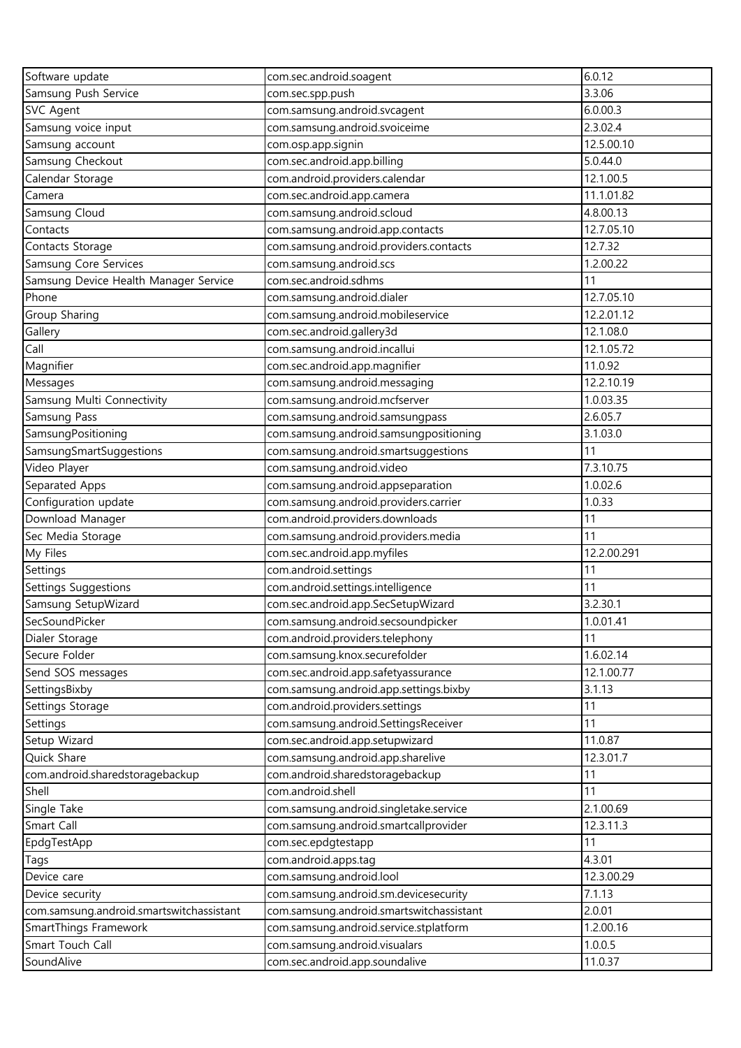| Software update                          | com.sec.android.soagent                  | 6.0.12      |
|------------------------------------------|------------------------------------------|-------------|
| Samsung Push Service                     | com.sec.spp.push                         | 3.3.06      |
| <b>SVC Agent</b>                         | com.samsung.android.svcagent             | 6.0.00.3    |
| Samsung voice input                      | com.samsung.android.svoiceime            | 2.3.02.4    |
| Samsung account                          | com.osp.app.signin                       | 12.5.00.10  |
| Samsung Checkout                         | com.sec.android.app.billing              | 5.0.44.0    |
| Calendar Storage                         | com.android.providers.calendar           | 12.1.00.5   |
| Camera                                   | com.sec.android.app.camera               | 11.1.01.82  |
| Samsung Cloud                            | com.samsung.android.scloud               | 4.8.00.13   |
| Contacts                                 | com.samsung.android.app.contacts         | 12.7.05.10  |
| Contacts Storage                         | com.samsung.android.providers.contacts   | 12.7.32     |
| Samsung Core Services                    | com.samsung.android.scs                  | 1.2.00.22   |
| Samsung Device Health Manager Service    | com.sec.android.sdhms                    | 11          |
| Phone                                    | com.samsung.android.dialer               | 12.7.05.10  |
| Group Sharing                            | com.samsung.android.mobileservice        | 12.2.01.12  |
| Gallery                                  | com.sec.android.gallery3d                | 12.1.08.0   |
| Call                                     | com.samsung.android.incallui             | 12.1.05.72  |
| Magnifier                                | com.sec.android.app.magnifier            | 11.0.92     |
| Messages                                 | com.samsung.android.messaging            | 12.2.10.19  |
| Samsung Multi Connectivity               | com.samsung.android.mcfserver            | 1.0.03.35   |
| Samsung Pass                             | com.samsung.android.samsungpass          | 2.6.05.7    |
| SamsungPositioning                       | com.samsung.android.samsungpositioning   | 3.1.03.0    |
| SamsungSmartSuggestions                  | com.samsung.android.smartsuggestions     | 11          |
| Video Player                             | com.samsung.android.video                | 7.3.10.75   |
| Separated Apps                           | com.samsung.android.appseparation        | 1.0.02.6    |
| Configuration update                     | com.samsung.android.providers.carrier    | 1.0.33      |
| Download Manager                         | com.android.providers.downloads          | 11          |
| Sec Media Storage                        | com.samsung.android.providers.media      | 11          |
| My Files                                 | com.sec.android.app.myfiles              | 12.2.00.291 |
| Settings                                 | com.android.settings                     | 11          |
| <b>Settings Suggestions</b>              | com.android.settings.intelligence        | 11          |
| Samsung SetupWizard                      | com.sec.android.app.SecSetupWizard       | 3.2.30.1    |
| SecSoundPicker                           | com.samsung.android.secsoundpicker       | 1.0.01.41   |
| Dialer Storage                           | com.android.providers.telephony          | 11          |
| Secure Folder                            | com.samsung.knox.securefolder            | 1.6.02.14   |
| Send SOS messages                        | com.sec.android.app.safetyassurance      | 12.1.00.77  |
| SettingsBixby                            | com.samsung.android.app.settings.bixby   | 3.1.13      |
| Settings Storage                         | com.android.providers.settings           | 11          |
| Settings                                 | com.samsung.android.SettingsReceiver     | 11          |
| Setup Wizard                             | com.sec.android.app.setupwizard          | 11.0.87     |
| Quick Share                              | com.samsung.android.app.sharelive        | 12.3.01.7   |
| com.android.sharedstoragebackup          | com.android.sharedstoragebackup          | 11          |
| Shell                                    | com.android.shell                        | 11          |
| Single Take                              | com.samsung.android.singletake.service   | 2.1.00.69   |
| Smart Call                               | com.samsung.android.smartcallprovider    | 12.3.11.3   |
| EpdgTestApp                              | com.sec.epdgtestapp                      | 11          |
| Tags                                     | com.android.apps.tag                     | 4.3.01      |
| Device care                              | com.samsung.android.lool                 | 12.3.00.29  |
| Device security                          | com.samsung.android.sm.devicesecurity    | 7.1.13      |
| com.samsung.android.smartswitchassistant | com.samsung.android.smartswitchassistant | 2.0.01      |
| SmartThings Framework                    | com.samsung.android.service.stplatform   | 1.2.00.16   |
| Smart Touch Call                         | com.samsung.android.visualars            | 1.0.0.5     |
| SoundAlive                               | com.sec.android.app.soundalive           | 11.0.37     |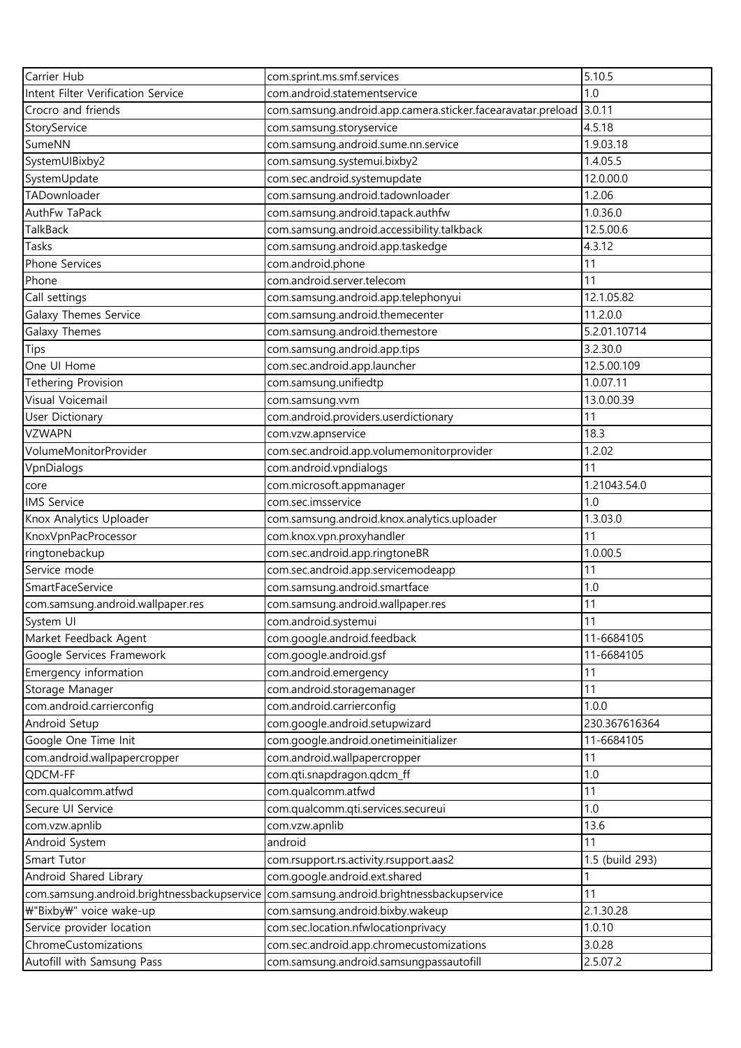| Carrier Hub                                                           | com.sprint.ms.smf.services                                                   | 5.10.5          |
|-----------------------------------------------------------------------|------------------------------------------------------------------------------|-----------------|
| Intent Filter Verification Service                                    | com.android.statementservice                                                 | 1.0             |
| Crocro and friends                                                    | com.samsung.android.app.camera.sticker.facearavatar.preload                  | 3.0.11          |
| StoryService                                                          | com.samsung.storyservice                                                     | 4.5.18          |
| SumeNN                                                                | com.samsung.android.sume.nn.service                                          | 1.9.03.18       |
| SystemUIBixby2                                                        | com.samsung.systemui.bixby2                                                  | 1.4.05.5        |
| SystemUpdate                                                          | com.sec.android.systemupdate                                                 | 12.0.00.0       |
| TADownloader                                                          | com.samsung.android.tadownloader                                             | 1.2.06          |
| AuthFw TaPack                                                         | com.samsung.android.tapack.authfw                                            | 1.0.36.0        |
| <b>TalkBack</b>                                                       | com.samsung.android.accessibility.talkback                                   | 12.5.00.6       |
| Tasks                                                                 | com.samsung.android.app.taskedge                                             | 4.3.12          |
| Phone Services                                                        | com.android.phone                                                            | 11              |
| Phone                                                                 | com.android.server.telecom                                                   | 11              |
| Call settings                                                         | com.samsung.android.app.telephonyui                                          | 12.1.05.82      |
| Galaxy Themes Service                                                 | com.samsung.android.themecenter                                              | 11.2.0.0        |
| Galaxy Themes                                                         | com.samsung.android.themestore                                               | 5.2.01.10714    |
| Tips                                                                  | com.samsung.android.app.tips                                                 | 3.2.30.0        |
| One UI Home                                                           | com.sec.android.app.launcher                                                 | 12.5.00.109     |
| Tethering Provision                                                   | com.samsung.unifiedtp                                                        | 1.0.07.11       |
| Visual Voicemail                                                      | com.samsung.vvm                                                              | 13.0.00.39      |
| <b>User Dictionary</b>                                                | com.android.providers.userdictionary                                         | 11              |
| <b>VZWAPN</b>                                                         | com.vzw.apnservice                                                           | 18.3            |
| VolumeMonitorProvider                                                 | com.sec.android.app.volumemonitorprovider                                    | 1.2.02          |
| VpnDialogs                                                            | com.android.vpndialogs                                                       | 11              |
| core                                                                  | com.microsoft.appmanager                                                     | 1.21043.54.0    |
| <b>IMS Service</b>                                                    | com.sec.imsservice                                                           | 1.0             |
| Knox Analytics Uploader                                               | com.samsung.android.knox.analytics.uploader                                  | 1.3.03.0        |
| KnoxVpnPacProcessor                                                   | com.knox.vpn.proxyhandler                                                    | 11              |
| ringtonebackup                                                        | com.sec.android.app.ringtoneBR                                               | 1.0.00.5        |
| Service mode                                                          | com.sec.android.app.servicemodeapp                                           | 11              |
| SmartFaceService                                                      | com.samsung.android.smartface                                                | 1.0             |
| com.samsung.android.wallpaper.res                                     | com.samsung.android.wallpaper.res                                            | 11              |
| System UI                                                             | com.android.systemui                                                         | 11              |
| Market Feedback Agent                                                 | com.google.android.feedback                                                  | 11-6684105      |
| Google Services Framework                                             | com.google.android.gsf                                                       | 11-6684105      |
| Emergency information                                                 | com.android.emergency                                                        | 11              |
| Storage Manager                                                       | com.android.storagemanager                                                   | 11              |
| com.android.carrierconfig                                             | com.android.carrierconfig                                                    | 1.0.0           |
| Android Setup                                                         | com.google.android.setupwizard                                               | 230.367616364   |
| Google One Time Init                                                  | com.google.android.onetimeinitializer                                        | 11-6684105      |
| com.android.wallpapercropper                                          | com.android.wallpapercropper                                                 | 11              |
| QDCM-FF                                                               | com.qti.snapdragon.qdcm_ff                                                   | 1.0             |
| com.qualcomm.atfwd                                                    | com.qualcomm.atfwd                                                           | 11              |
| Secure UI Service                                                     | com.qualcomm.qti.services.secureui                                           | 1.0             |
| com.vzw.apnlib                                                        | com.vzw.apnlib                                                               | 13.6            |
|                                                                       | android                                                                      | 11              |
| Android System<br>Smart Tutor                                         |                                                                              | 1.5 (build 293) |
|                                                                       | com.rsupport.rs.activity.rsupport.aas2                                       |                 |
| Android Shared Library<br>com.samsung.android.brightnessbackupservice | com.google.android.ext.shared<br>com.samsung.android.brightnessbackupservice | 11              |
| ₩"Bixby₩" voice wake-up                                               | com.samsung.android.bixby.wakeup                                             | 2.1.30.28       |
| Service provider location                                             | com.sec.location.nfwlocationprivacy                                          | 1.0.10          |
| ChromeCustomizations                                                  |                                                                              | 3.0.28          |
|                                                                       | com.sec.android.app.chromecustomizations                                     | 2.5.07.2        |
| Autofill with Samsung Pass                                            | com.samsung.android.samsungpassautofill                                      |                 |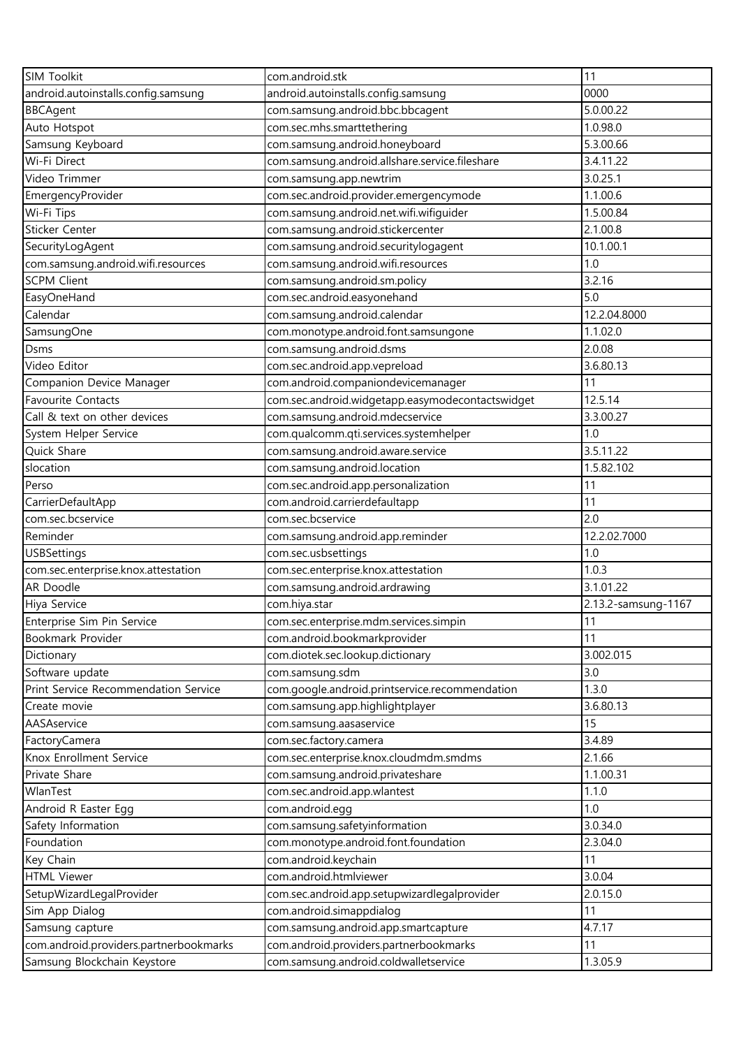| <b>SIM Toolkit</b>                     | com.android.stk                                  | 11                  |
|----------------------------------------|--------------------------------------------------|---------------------|
| android.autoinstalls.config.samsung    | android.autoinstalls.config.samsung              | 0000                |
| <b>BBCAgent</b>                        | com.samsung.android.bbc.bbcagent                 | 5.0.00.22           |
| Auto Hotspot                           | com.sec.mhs.smarttethering                       | 1.0.98.0            |
| Samsung Keyboard                       | com.samsung.android.honeyboard                   | 5.3.00.66           |
| Wi-Fi Direct                           | com.samsung.android.allshare.service.fileshare   | 3.4.11.22           |
| Video Trimmer                          | com.samsung.app.newtrim                          | 3.0.25.1            |
| EmergencyProvider                      | com.sec.android.provider.emergencymode           | 1.1.00.6            |
| Wi-Fi Tips                             | com.samsung.android.net.wifi.wifiguider          | 1.5.00.84           |
| Sticker Center                         | com.samsung.android.stickercenter                | 2.1.00.8            |
| SecurityLogAgent                       | com.samsung.android.securitylogagent             | 10.1.00.1           |
| com.samsung.android.wifi.resources     | com.samsung.android.wifi.resources               | 1.0                 |
| <b>SCPM Client</b>                     | com.samsung.android.sm.policy                    | 3.2.16              |
| EasyOneHand                            | com.sec.android.easyonehand                      | 5.0                 |
| Calendar                               | com.samsung.android.calendar                     | 12.2.04.8000        |
| SamsungOne                             | com.monotype.android.font.samsungone             | 1.1.02.0            |
| Dsms                                   | com.samsung.android.dsms                         | 2.0.08              |
| Video Editor                           | com.sec.android.app.vepreload                    | 3.6.80.13           |
| Companion Device Manager               | com.android.companiondevicemanager               | 11                  |
| <b>Favourite Contacts</b>              | com.sec.android.widgetapp.easymodecontactswidget | 12.5.14             |
| Call & text on other devices           | com.samsung.android.mdecservice                  | 3.3.00.27           |
| System Helper Service                  | com.qualcomm.qti.services.systemhelper           | 1.0                 |
| Quick Share                            | com.samsung.android.aware.service                | 3.5.11.22           |
| slocation                              | com.samsung.android.location                     | 1.5.82.102          |
| Perso                                  | com.sec.android.app.personalization              | 11                  |
| CarrierDefaultApp                      | com.android.carrierdefaultapp                    | 11                  |
| com.sec.bcservice                      | com.sec.bcservice                                | 2.0                 |
| Reminder                               | com.samsung.android.app.reminder                 | 12.2.02.7000        |
| <b>USBSettings</b>                     | com.sec.usbsettings                              | 1.0                 |
| com.sec.enterprise.knox.attestation    | com.sec.enterprise.knox.attestation              | 1.0.3               |
| AR Doodle                              | com.samsung.android.ardrawing                    | 3.1.01.22           |
| Hiya Service                           | com.hiya.star                                    | 2.13.2-samsung-1167 |
| Enterprise Sim Pin Service             | com.sec.enterprise.mdm.services.simpin           | 11                  |
| Bookmark Provider                      | com.android.bookmarkprovider                     | 11                  |
| Dictionary                             | com.diotek.sec.lookup.dictionary                 | 3.002.015           |
| Software update                        | com.samsung.sdm                                  | 3.0                 |
| Print Service Recommendation Service   | com.google.android.printservice.recommendation   | 1.3.0               |
| Create movie                           | com.samsung.app.highlightplayer                  | 3.6.80.13           |
| AASAservice                            | com.samsung.aasaservice                          | 15                  |
| FactoryCamera                          | com.sec.factory.camera                           | 3.4.89              |
| Knox Enrollment Service                | com.sec.enterprise.knox.cloudmdm.smdms           | 2.1.66              |
| Private Share                          | com.samsung.android.privateshare                 | 1.1.00.31           |
| WlanTest                               | com.sec.android.app.wlantest                     | 1.1.0               |
| Android R Easter Egg                   | com.android.egg                                  | 1.0                 |
| Safety Information                     | com.samsung.safetyinformation                    | 3.0.34.0            |
| Foundation                             | com.monotype.android.font.foundation             | 2.3.04.0            |
| Key Chain                              | com.android.keychain                             | 11                  |
| <b>HTML Viewer</b>                     | com.android.htmlviewer                           | 3.0.04              |
| SetupWizardLegalProvider               | com.sec.android.app.setupwizardlegalprovider     | 2.0.15.0            |
| Sim App Dialog                         | com.android.simappdialog                         | 11                  |
| Samsung capture                        | com.samsung.android.app.smartcapture             | 4.7.17              |
| com.android.providers.partnerbookmarks | com.android.providers.partnerbookmarks           | 11                  |
| Samsung Blockchain Keystore            | com.samsung.android.coldwalletservice            | 1.3.05.9            |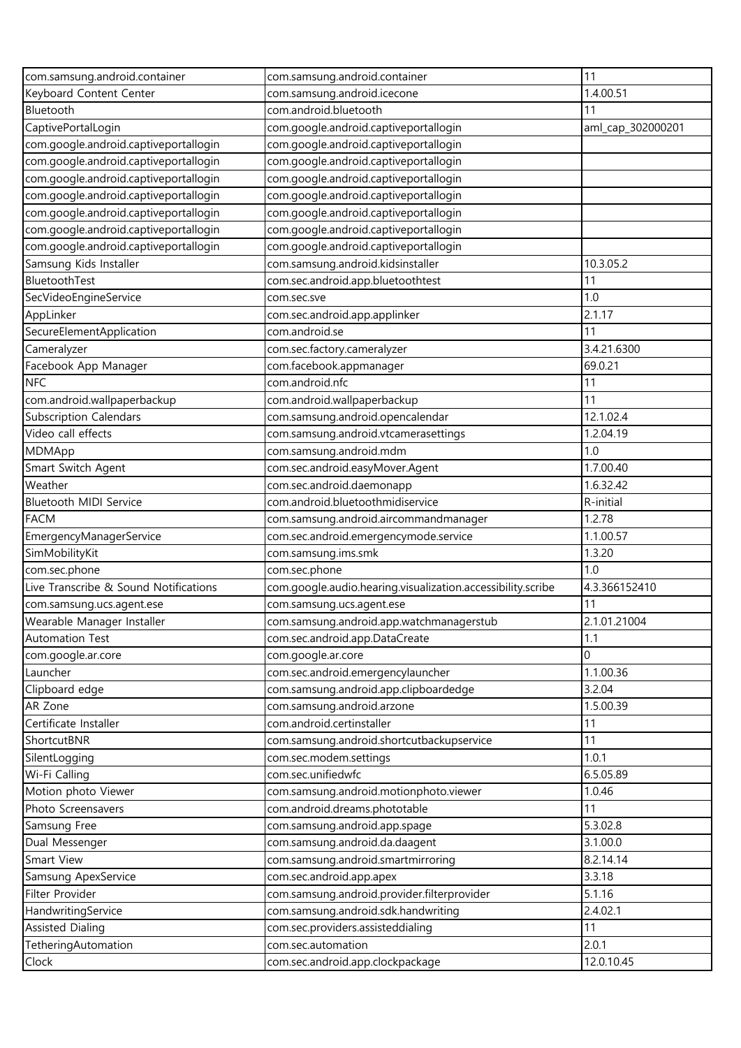| com.samsung.android.container                          | com.samsung.android.container                               | 11                |
|--------------------------------------------------------|-------------------------------------------------------------|-------------------|
| Keyboard Content Center                                | com.samsung.android.icecone                                 | 1.4.00.51         |
| Bluetooth                                              | com.android.bluetooth                                       | 11                |
| CaptivePortalLogin                                     | com.google.android.captiveportallogin                       | aml_cap_302000201 |
| com.google.android.captiveportallogin                  | com.google.android.captiveportallogin                       |                   |
| com.google.android.captiveportallogin                  | com.google.android.captiveportallogin                       |                   |
| com.google.android.captiveportallogin                  | com.google.android.captiveportallogin                       |                   |
| com.google.android.captiveportallogin                  | com.google.android.captiveportallogin                       |                   |
| com.google.android.captiveportallogin                  | com.google.android.captiveportallogin                       |                   |
| com.google.android.captiveportallogin                  | com.google.android.captiveportallogin                       |                   |
| com.google.android.captiveportallogin                  | com.google.android.captiveportallogin                       |                   |
| Samsung Kids Installer                                 | com.samsung.android.kidsinstaller                           | 10.3.05.2         |
| BluetoothTest                                          | com.sec.android.app.bluetoothtest                           | 11                |
| SecVideoEngineService                                  | com.sec.sve                                                 | 1.0               |
| AppLinker                                              | com.sec.android.app.applinker                               | 2.1.17            |
| SecureElementApplication                               | com.android.se                                              | 11                |
| Cameralyzer                                            | com.sec.factory.cameralyzer                                 | 3.4.21.6300       |
| Facebook App Manager                                   | com.facebook.appmanager                                     | 69.0.21           |
| <b>NFC</b>                                             | com.android.nfc                                             | 11                |
| com.android.wallpaperbackup                            | com.android.wallpaperbackup                                 | 11                |
| <b>Subscription Calendars</b>                          | com.samsung.android.opencalendar                            | 12.1.02.4         |
| Video call effects                                     | com.samsung.android.vtcamerasettings                        | 1.2.04.19         |
| MDMApp                                                 | com.samsung.android.mdm                                     | 1.0               |
| Smart Switch Agent                                     | com.sec.android.easyMover.Agent                             | 1.7.00.40         |
| Weather                                                | com.sec.android.daemonapp                                   | 1.6.32.42         |
| Bluetooth MIDI Service                                 | com.android.bluetoothmidiservice                            | R-initial         |
| <b>FACM</b>                                            |                                                             | 1.2.78            |
|                                                        | com.samsung.android.aircommandmanager                       |                   |
| EmergencyManagerService                                | com.sec.android.emergencymode.service                       | 1.1.00.57         |
| SimMobilityKit                                         | com.samsung.ims.smk                                         | 1.3.20<br>1.0     |
| com.sec.phone<br>Live Transcribe & Sound Notifications | com.sec.phone                                               | 4.3.366152410     |
|                                                        | com.google.audio.hearing.visualization.accessibility.scribe |                   |
| com.samsung.ucs.agent.ese                              | com.samsung.ucs.agent.ese                                   | 11                |
| Wearable Manager Installer                             | com.samsung.android.app.watchmanagerstub                    | 2.1.01.21004      |
| Automation Test                                        | com.sec.android.app.DataCreate                              | 1.1               |
| com.google.ar.core                                     | com.google.ar.core                                          | $\Omega$          |
| Launcher                                               | com.sec.android.emergencylauncher                           | 1.1.00.36         |
| Clipboard edge                                         | com.samsung.android.app.clipboardedge                       | 3.2.04            |
| AR Zone                                                | com.samsung.android.arzone                                  | 1.5.00.39         |
| Certificate Installer                                  | com.android.certinstaller                                   | 11                |
| ShortcutBNR                                            | com.samsung.android.shortcutbackupservice                   | 11                |
| SilentLogging                                          | com.sec.modem.settings                                      | 1.0.1             |
| Wi-Fi Calling                                          | com.sec.unifiedwfc                                          | 6.5.05.89         |
| Motion photo Viewer                                    | com.samsung.android.motionphoto.viewer                      | 1.0.46            |
| Photo Screensavers                                     | com.android.dreams.phototable                               | 11                |
| Samsung Free                                           | com.samsung.android.app.spage                               | 5.3.02.8          |
| Dual Messenger                                         | com.samsung.android.da.daagent                              | 3.1.00.0          |
| Smart View                                             | com.samsung.android.smartmirroring                          | 8.2.14.14         |
| Samsung ApexService                                    | com.sec.android.app.apex                                    | 3.3.18            |
| Filter Provider                                        | com.samsung.android.provider.filterprovider                 | 5.1.16            |
| HandwritingService                                     | com.samsung.android.sdk.handwriting                         | 2.4.02.1          |
| <b>Assisted Dialing</b>                                | com.sec.providers.assisteddialing                           | 11                |
| TetheringAutomation                                    | com.sec.automation                                          | 2.0.1             |
| Clock                                                  | com.sec.android.app.clockpackage                            | 12.0.10.45        |